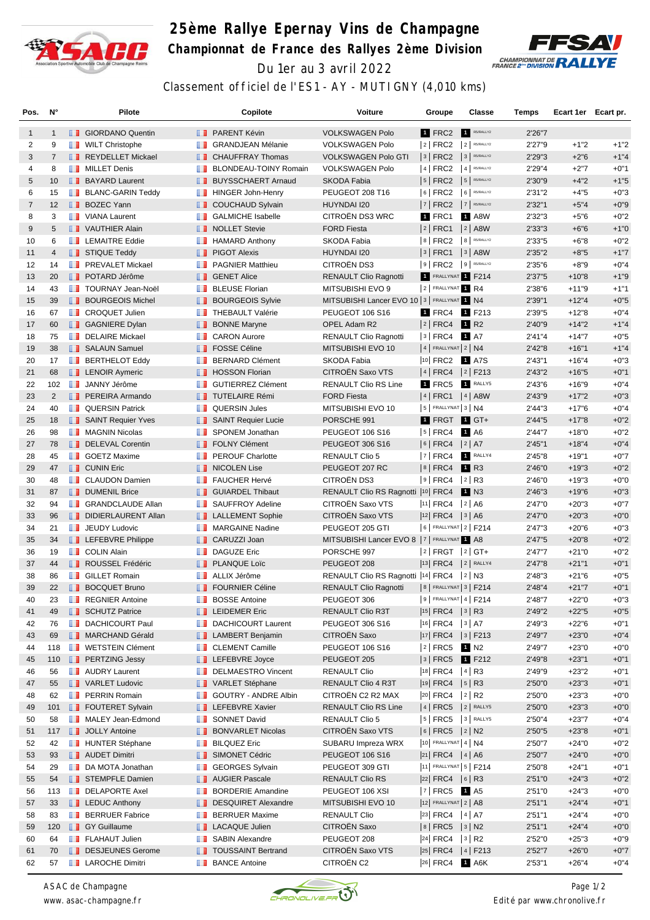

## **25ème Rallye Epernay Vins de Champagne Championnat de France des Rallyes 2ème Division** Du 1er au 3 avril 2022



Classement officiel de l'ES1 - AY - MUTIGNY (4,010 kms)

| Pos.           | $N^{\circ}$    |   | <b>Pilote</b>                     |             | Copilote                     | Voiture                                       | Groupe                                                     |   | Classe                  | Temps   | Ecart 1er Ecart pr. |        |
|----------------|----------------|---|-----------------------------------|-------------|------------------------------|-----------------------------------------------|------------------------------------------------------------|---|-------------------------|---------|---------------------|--------|
| $\mathbf{1}$   | $\mathbf{1}$   |   | <b>B</b> GIORDANO Quentin         |             | <b>FRARENT Kévin</b>         | <b>VOLKSWAGEN Polo</b>                        | 1 FRC2                                                     |   | R5/RALLY2               | 2'26"7  |                     |        |
| 2              | 9              |   | <b>NILT</b> Christophe            |             | <b>BE</b> GRANDJEAN Mélanie  | <b>VOLKSWAGEN Polo</b>                        | $ 2 $ FRC2                                                 |   | 2 R5/RALLY2             | 2'27"9  | $+1"2$              | $+1"2$ |
| 3              | $\overline{7}$ |   | REYDELLET Mickael                 |             | <b>CHAUFFRAY Thomas</b>      | <b>VOLKSWAGEN Polo GTI</b>                    | $ 3 $ FRC2                                                 |   | 3 R5/RALLY2             | 2'29"3  | $+2"6$              | $+1"4$ |
| 4              | 8              |   | <b>NILLET</b> Denis               | ш           | <b>BLONDEAU-TOINY Romain</b> | <b>VOLKSWAGEN Polo</b>                        | $ 4 $ FRC2                                                 |   | $4$ R5/RALLY2           | 2'29"4  | $+2"7$              | $+0"1$ |
| 5              | 10             |   | <b>BAYARD Laurent</b>             |             | <b>BUYSSCHAERT Arnaud</b>    | <b>SKODA Fabia</b>                            | $ 5 $ FRC2                                                 |   | 5 R5/RALLY2             | 2'30"9  | $+4"2$              | $+1"5$ |
| 6              | 15             |   | <b>BLANC-GARIN Teddy</b>          | ш           | HINGER John-Henry            | PEUGEOT 208 T16                               | $ 6 $ FRC2                                                 | 6 | R5/RALLY2               | 2'31"2  | $+4"5$              | $+0"3$ |
| $\overline{7}$ | 12             |   | <b>BOZEC Yann</b>                 | ш           | <b>COUCHAUD Sylvain</b>      | HUYNDAI I20                                   | $7$ FRC2 $7$ R5/RALLY2                                     |   |                         | 2'32"1  | $+5"4$              | $+0"9$ |
| 8              | 3              |   | <b>NANA</b> Laurent               | m           | <b>GALMICHE Isabelle</b>     | CITROËN DS3 WRC                               | 1 FRC1                                                     |   | 1 A8W                   | 2'32"3  | $+5"6$              | $+0"2$ |
| 9              | 5              |   | VAUTHIER Alain                    |             | <b>NOLLET</b> Stevie         | <b>FORD Fiesta</b>                            | $ 2 $ FRC1                                                 |   | $ 2 $ A8W               | 2'33"3  | $+6"6$              | $+1"0$ |
| 10             | 6              |   | <b>EXAMPLE Eddie</b>              | ш           | <b>HAMARD Anthony</b>        | <b>SKODA Fabia</b>                            | $ 8 $ FRC2                                                 |   | 8 R5/RALLY2             | 2'33"5  | $+6"8$              | $+0"2$ |
| 11             | $\overline{4}$ |   | STIQUE Teddy                      |             | <b>F</b> PIGOT Alexis        | HUYNDAI I20                                   | $3$ FRC1                                                   |   | $3$ A8W                 | 2'35"2  | $+8"5$              | $+1"7$ |
| 12             | 14             |   | <b>FREVALET Mickael</b>           | w           | <b>PAGNIER Matthieu</b>      | CITROËN DS3                                   | $ 9 $ FRC2                                                 |   | 9 R5/RALLY2             | 2'35"6  | $+8"9$              | $+0"4$ |
| 13             | 20             |   | <b>DE POTARD Jérôme</b>           |             | <b>B</b> GENET Alice         | <b>RENAULT Clio Ragnotti</b>                  | 1 FRALLYNAT 1 F214                                         |   |                         | 2'37"5  | $+10"8$             | $+1"9$ |
| 14             | 43             |   | <b>TOURNAY Jean-Noël</b>          | ш           | <b>BLEUSE Florian</b>        | MITSUBISHI EVO 9                              | 2 FRALLYNAT 1 R4                                           |   |                         | 2'38"6  | $+11"9$             | $+1"1$ |
| 15             | 39             |   | <b>BOURGEOIS Michel</b>           | ш           | <b>BOURGEOIS Sylvie</b>      | MITSUBISHI Lancer EVO 10   3   FRALLYNAT 1 N4 |                                                            |   |                         | 2'39"1  | $+12"4$             | $+0.5$ |
| 16             | 67             |   | <b>T</b> CROQUET Julien           | <b>A 10</b> | <b>THEBAULT Valérie</b>      | <b>PEUGEOT 106 S16</b>                        | 1 FRC4 1 F213                                              |   |                         | 2'39"5  | $+12"8$             | $+0"4$ |
| 17             | 60             |   | <b>B</b> GAGNIERE Dylan           | ш           | <b>BONNE Maryne</b>          | OPEL Adam R2                                  | 2   FRC4                                                   |   | <b>1</b> R <sub>2</sub> | 2'40"9  | $+14"2$             | $+1"4$ |
| 18             | 75             |   | DELAIRE Mickael                   | ш           | <b>CARON Aurore</b>          | RENAULT Clio Ragnotti                         | $ 3 $ FRC4                                                 |   | 1 A7                    | 2'41''4 | $+14"7$             | $+0"5$ |
| 19             | 38             |   | SALAUN Samuel                     |             | <b>T</b> FOSSE Céline        | MITSUBISHI EVO 10                             | $ 4 $ FRALLYNAT $ 2 $ N4                                   |   |                         | 2'42"8  | $+16"1$             | $+1"4$ |
| 20             | 17             |   | <b>BERTHELOT Eddy</b>             | ш           | <b>BERNARD Clément</b>       | SKODA Fabia                                   | 10 FRC2                                                    |   | 1 A7S                   | 2'43"1  | $+16"4$             | $+0"3$ |
| 21             | 68             |   | <b>EXP</b> LENOIR Aymeric         | ш           | <b>HOSSON Florian</b>        | CITROËN Saxo VTS                              | $ 4 $ FRC4 $ 2 $ F213                                      |   |                         | 2'43"2  | $+16"5$             | $+0"1$ |
| 22             | 102            |   | <b>JANNY Jérôme</b>               |             | <b>B</b> GUTIERREZ Clément   | <b>RENAULT Clio RS Line</b>                   | 1 FRC5                                                     |   | RALLY5                  | 2'43"6  | $+16"9$             | $+0"4$ |
| 23             | $\overline{2}$ |   | <b>PEREIRA Armando</b>            |             | <b>TUTELAIRE Rémi</b>        | <b>FORD Fiesta</b>                            | 4   FRC1                                                   |   | $ 4 $ A8W               | 2'43"9  | $+17"2$             | $+0"3$ |
| 24             | 40             |   | <b>QUERSIN Patrick</b>            | w           | <b>QUERSIN Jules</b>         | MITSUBISHI EVO 10                             | $ 5 $ FRALLYNAT $ 3 $ N4                                   |   |                         | 2'44"3  | $+17"6$             | $+0"4$ |
| 25             | 18             |   | SAINT Requier Yves                |             | SAINT Requier Lucie          | PORSCHE 991                                   | 1 FRGT                                                     |   | $\blacksquare$ GT+      | 2'44"5  | $+17"8$             | $+0"2$ |
| 26             | 98             |   | <b>NAGNIN Nicolas</b>             | ш           | SPONEM Jonathan              | PEUGEOT 106 S16                               | $ 5 $ FRC4                                                 |   | 1 A6                    | 2'44"7  | $+18"0$             | $+0"2$ |
| 27             | 78             |   | DELEVAL Corentin                  |             | <b>FOLNY Clément</b>         | <b>PEUGEOT 306 S16</b>                        | $ 6 $ FRC4 $ 2 $ A7                                        |   |                         | 2'45"1  | $+18"4$             | $+0"4$ |
| 28             | 45             |   | <b>B</b> GOETZ Maxime             |             | <b>FROUF Charlotte</b>       | <b>RENAULT Clio 5</b>                         | $ 7 $ FRC4                                                 |   | 1 RALLY4                | 2'45"8  | $+19"1$             | $+0"7$ |
| 29             | 47             |   | <b>T</b> CUNIN Eric               |             | NICOLEN Lise                 | PEUGEOT 207 RC                                | 8   FRC4                                                   |   | <b>1</b> R3             | 2'46"0  | $+19"3$             | $+0"2$ |
| 30             | 48             |   | <b>CLAUDON Damien</b>             | ш           | <b>FAUCHER Hervé</b>         | CITROËN DS3                                   | $ 9 $ FRC4                                                 |   | $ 2 $ R3                | 2'46"0  | $+19"3$             | $+0"0$ |
| 31             | 87             |   | <b>DUMENIL Brice</b>              |             | <b>GUIARDEL Thibaut</b>      | RENAULT Clio RS Ragnotti  10  FRC4            |                                                            |   | 1 N3                    | 2'46"3  | $+19"6$             | $+0"3$ |
| 32             | 94             |   | <b>SRANDCLAUDE Allan</b>          | m           | <b>SAUFFROY Adeline</b>      | CITROËN Saxo VTS                              | $ 11 $ FRC4                                                |   | 2 A6                    | 2'47"0  | $+20"3$             | $+0"7$ |
| 33             | 96             |   | DIDIERLAURENT Allan               |             | <b>LALLEMENT Sophie</b>      | CITROËN Saxo VTS                              | $ 12 $ FRC4 $ 3 $ A6                                       |   |                         | 2'47"0  | $+20"3$             | $+0"0$ |
| 34             | 21             |   | <b>JEUDY Ludovic</b>              | m           | <b>MARGAINE Nadine</b>       | PEUGEOT 205 GTI                               | 6   FRALLYNAT 2   F214                                     |   |                         | 2'47"3  | $+20"6$             | $+0"3$ |
| 35             | 34             |   | <b>EXECUTE:</b> LEFEBVRE Philippe |             | <b>CARUZZI Joan</b>          | MITSUBISHI Lancer EVO 8   7   FRALLYNAT 1 A8  |                                                            |   |                         | 2'47"5  | $+20"8$             | $+0"2$ |
| 36             | 19             |   | <b>COLIN Alain</b>                | w           | <b>DAGUZE Eric</b>           | PORSCHE 997                                   | $ 2 $ FRGT $ 2 $ GT+                                       |   |                         | 2'47"7  | $+21"0$             | $+0"2$ |
| 37             | 44             |   | ROUSSEL Frédéric                  |             | <b>PLANQUE Loïc</b>          | PEUGEOT 208                                   | $ 13 $ FRC4                                                |   | $2$ RALLY4              | 2'47"8  | $+21"1$             | $+0"1$ |
| 38             | 86             |   | <b>B</b> GILLET Romain            | w           | ALLIX Jérôme                 | RENAULT Clio RS Ragnotti  14  FRC4            |                                                            |   | $ 2 $ N3                | 2'48"3  | $+21"6$             | $+0"5$ |
| 39             | 22             |   | <b>BOCQUET Bruno</b>              |             | <b>FOURNIER Céline</b>       | <b>RENAULT Clio Ragnotti</b>                  | 8   FRALLYNAT 3   F214                                     |   |                         | 2'48"4  | $+21"7$             | $+0"1$ |
| 40             | 23             | m | <b>REGNIER Antoine</b>            |             | <b>BOSSE Antoine</b>         | PEUGEOT 306                                   | $ 9 $ FRALLYNAT 4   F214                                   |   |                         | 2'48"7  | $+22"0$             | $+0"3$ |
| 41             | 49             |   | SCHUTZ Patrice                    |             | <b>EDEMER Eric</b>           | RENAULT Clio R3T                              | $ 15 $ FRC4 $ 3 $ R3                                       |   |                         | 2'49"2  | $+22"5$             | $+0"5$ |
| 42             | 76             |   | <b>DACHICOURT Paul</b>            |             | <b>DACHICOURT Laurent</b>    | <b>PEUGEOT 306 S16</b>                        | 16  FRC4   3   A7                                          |   |                         | 2'49"3  | $+22"6$             | $+0"1$ |
| 43             | 69             |   | MARCHAND Gérald                   |             | <b>EXP</b> LAMBERT Benjamin  | CITROËN Saxo                                  | $ 17 $ FRC4 $ 3 $ F213                                     |   |                         | 2'49"7  | $+23"0$             | $+0"4$ |
| 44             | 118            |   | <b>WETSTEIN Clément</b>           | ш           | <b>CLEMENT Camille</b>       | PEUGEOT 106 S16                               | $ 2 $ FRC5                                                 |   | 1 N <sub>2</sub>        | 2'49"7  | $+23"0$             | $+0"0$ |
| 45             | 110            |   | <b>PERTZING Jessy</b>             |             | <b>LEFEBVRE</b> Joyce        | PEUGEOT 205                                   | $ 3 $ FRC5 <b>1</b> F212                                   |   |                         | 2'49"8  | $+23"1$             | $+0"1$ |
| 46             | 56             |   | <b>NET</b> AUDRY Laurent          | m           | <b>DELMAESTRO Vincent</b>    | <b>RENAULT Clio</b>                           | $ 18 $ FRC4 $ 4 $ R3                                       |   |                         | 2'49"9  | $+23"2$             | $+0"1$ |
| 47             | 55             |   | VARLET Ludovic                    |             | VARLET Stéphane              | RENAULT Clio 4 R3T                            | $ 19 $ FRC4 $ 5 $ R3                                       |   |                         | 2'50"0  | $+23"3$             | $+0"1$ |
| 48             | 62             |   | <b>FRAIN Romain</b>               | m           | <b>GOUTRY - ANDRE Albin</b>  | CITROËN C2 R2 MAX                             | 20 FRC4 2 R2                                               |   |                         | 2'50"0  | $+23"3$             | $+0"0$ |
| 49             | 101            |   | <b>FOUTERET Sylvain</b>           |             | <b>LEFEBVRE Xavier</b>       | <b>RENAULT Clio RS Line</b>                   | $ 4 $ FRC5                                                 |   | $2$ RALLY5              | 2'50"0  | $+23"3$             | $+0"0$ |
| 50             | 58             |   | MALEY Jean-Edmond                 | ш           | <b>SONNET David</b>          | <b>RENAULT Clio 5</b>                         | $ 5 $ FRC5 $ 3 $ RALLY5                                    |   |                         | 2'50"4  | $+23"7$             | $+0"4$ |
| 51             | 117            |   | <b>JOLLY Antoine</b>              |             | <b>BONVARLET Nicolas</b>     | CITROËN Saxo VTS                              | $ 6 $ FRC5 $ 2 $ N2                                        |   |                         | 2'50"5  | $+23"8$             | $+0"1$ |
| 52             | 42             |   | <b>HUNTER Stéphane</b>            | m           | <b>BILQUEZ Eric</b>          | SUBARU Impreza WRX                            | $ 10 $ FRALLYNAT 4   N4                                    |   |                         | 2'50"7  | $+24"0$             | $+0"2$ |
| 53             | 93             |   | <b>AUDET Dimitri</b>              |             | SIMONET Cédric               | PEUGEOT 106 S16                               | $ 21 $ FRC4 $ 4 $ A6                                       |   |                         | 2'50"7  | $+24"0$             | $+0"0$ |
| 54             | 29             |   | DA MOTA Jonathan                  | u n         | <b>GEORGES Sylvain</b>       | PEUGEOT 309 GTI                               | $ 11 $ FRALLYNAT $ 5 $ F214                                |   |                         | 2'50"8  | $+24"1$             | $+0"1$ |
| 55             | 54             |   | STEMPFLE Damien                   |             | <b>NET AUGIER Pascale</b>    | RENAULT Clio RS                               | $ 22 $ FRC4 $ 6 $ R3                                       |   |                         | 2'51"0  | $+24"3$             | $+0"2$ |
| 56             | 113            |   | DELAPORTE Axel                    | ш           | <b>BORDERIE Amandine</b>     | PEUGEOT 106 XSI                               | 7 FRC5 1 A5                                                |   |                         | 2'51"0  | $+24"3$             | $+0"0$ |
| 57             | 33             |   | <b>LEDUC Anthony</b>              |             | DESQUIRET Alexandre          | MITSUBISHI EVO 10                             | 12 FRALLYNAT 2   A8                                        |   |                         | 2'51"1  | $+24"4$             | $+0"1$ |
| 58             | 83             |   | <b>BERRUER Fabrice</b>            | ш           | <b>BERRUER Maxime</b>        | <b>RENAULT Clio</b>                           | $\begin{vmatrix} 23 & FRC4 &   & 4 &   & A7 \end{vmatrix}$ |   |                         | 2'51"1  | $+24"4$             | $+0"0$ |
| 59             | 120            |   | <b>B</b> GY Guillaume             |             | <b>LACAQUE Julien</b>        | CITROËN Saxo                                  | $ 8 $ FRC5 $ 3 $ N2                                        |   |                         | 2'51"1  | $+24"4$             | $+0"0$ |
| 60             | 64             |   | <b>FLAHAUT Julien</b>             | ш           | <b>SABIN Alexandre</b>       | PEUGEOT 208                                   | $ 24 $ FRC4 $ 3 $ R2                                       |   |                         | 2'52"0  | $+25"3$             | $+0"9$ |
| 61             | 70             |   | DESJEUNES Gerome                  |             | <b>TOUSSAINT Bertrand</b>    | CITROËN Saxo VTS                              | 25  FRC4   4   F213                                        |   |                         | 2'52"7  | $+26"0$             | $+0"7$ |
| 62             | 57             |   | <b>LAROCHE Dimitri</b>            |             | <b>BANCE Antoine</b>         | CITROËN C2                                    | 26 FRC4 1 A6K                                              |   |                         | 2'53"1  | $+26"4$             | $+0"4$ |

*ASAC de Champagne www. asac-champagne.fr*



*2 Page 1/ Edité par www.chronolive.fr*